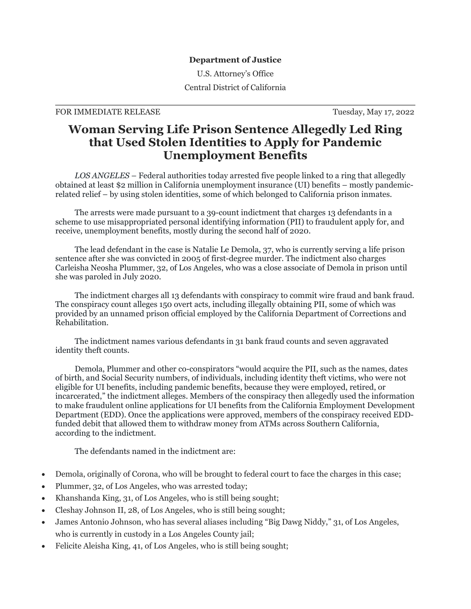## **Department of Justice**

U.S. Attorney's Office Central District of California

## FOR IMMEDIATE RELEASE TUESDAY, May 17, 2022

## **Woman Serving Life Prison Sentence Allegedly Led Ring that Used Stolen Identities to Apply for Pandemic Unemployment Benefits**

 *LOS ANGELES* – Federal authorities today arrested five people linked to a ring that allegedly obtained at least \$2 million in California unemployment insurance (UI) benefits – mostly pandemicrelated relief – by using stolen identities, some of which belonged to California prison inmates.

 The arrests were made pursuant to a 39-count indictment that charges 13 defendants in a scheme to use misappropriated personal identifying information (PII) to fraudulent apply for, and receive, unemployment benefits, mostly during the second half of 2020.

 The lead defendant in the case is Natalie Le Demola, 37, who is currently serving a life prison sentence after she was convicted in 2005 of first-degree murder. The indictment also charges Carleisha Neosha Plummer, 32, of Los Angeles, who was a close associate of Demola in prison until she was paroled in July 2020.

 The indictment charges all 13 defendants with conspiracy to commit wire fraud and bank fraud. The conspiracy count alleges 150 overt acts, including illegally obtaining PII, some of which was provided by an unnamed prison official employed by the California Department of Corrections and Rehabilitation.

 The indictment names various defendants in 31 bank fraud counts and seven aggravated identity theft counts.

 Demola, Plummer and other co-conspirators "would acquire the PII, such as the names, dates of birth, and Social Security numbers, of individuals, including identity theft victims, who were not eligible for UI benefits, including pandemic benefits, because they were employed, retired, or incarcerated," the indictment alleges. Members of the conspiracy then allegedly used the information to make fraudulent online applications for UI benefits from the California Employment Development Department (EDD). Once the applications were approved, members of the conspiracy received EDDfunded debit that allowed them to withdraw money from ATMs across Southern California, according to the indictment.

The defendants named in the indictment are:

- Demola, originally of Corona, who will be brought to federal court to face the charges in this case;
- Plummer, 32, of Los Angeles, who was arrested today;
- Khanshanda King, 31, of Los Angeles, who is still being sought;
- Cleshay Johnson II, 28, of Los Angeles, who is still being sought;
- James Antonio Johnson, who has several aliases including "Big Dawg Niddy," 31, of Los Angeles, who is currently in custody in a Los Angeles County jail;
- Felicite Aleisha King, 41, of Los Angeles, who is still being sought;